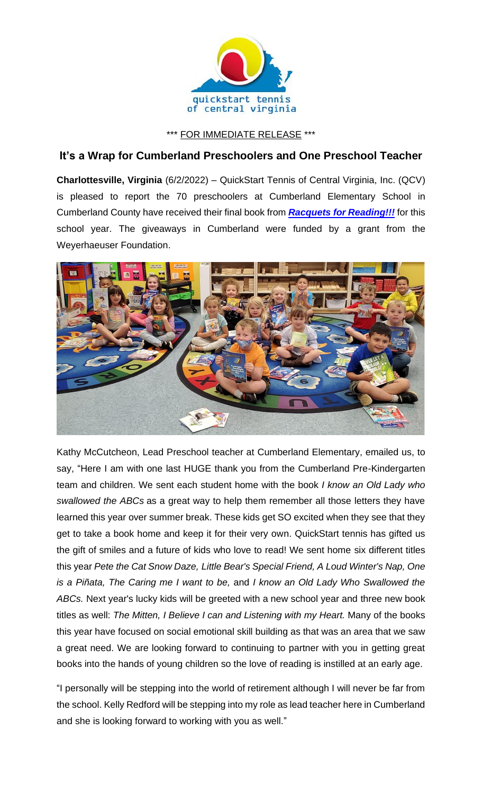

\*\*\* FOR IMMEDIATE RELEASE \*\*\*

## **It's a Wrap for Cumberland Preschoolers and One Preschool Teacher**

**Charlottesville, Virginia** (6/2/2022) – QuickStart Tennis of Central Virginia, Inc. (QCV) is pleased to report the 70 preschoolers at Cumberland Elementary School in Cumberland County have received their final book from *[Racquets for Reading!!!](https://www.quickstartcentral.org/pages/index.cfm?siteid=23306)* for this school year. The giveaways in Cumberland were funded by a grant from the Weyerhaeuser Foundation.



Kathy McCutcheon, Lead Preschool teacher at Cumberland Elementary, emailed us, to say, "Here I am with one last HUGE thank you from the Cumberland Pre-Kindergarten team and children. We sent each student home with the book *I know an Old Lady who swallowed the ABCs* as a great way to help them remember all those letters they have learned this year over summer break. These kids get SO excited when they see that they get to take a book home and keep it for their very own. QuickStart tennis has gifted us the gift of smiles and a future of kids who love to read! We sent home six different titles this year *Pete the Cat Snow Daze, Little Bear's Special Friend, A Loud Winter's Nap, One is a Piñata, The Caring me I want to be,* and *I know an Old Lady Who Swallowed the ABCs.* Next year's lucky kids will be greeted with a new school year and three new book titles as well: *The Mitten, I Believe I can and Listening with my Heart.* Many of the books this year have focused on social emotional skill building as that was an area that we saw a great need. We are looking forward to continuing to partner with you in getting great books into the hands of young children so the love of reading is instilled at an early age.

"I personally will be stepping into the world of retirement although I will never be far from the school. Kelly Redford will be stepping into my role as lead teacher here in Cumberland and she is looking forward to working with you as well."